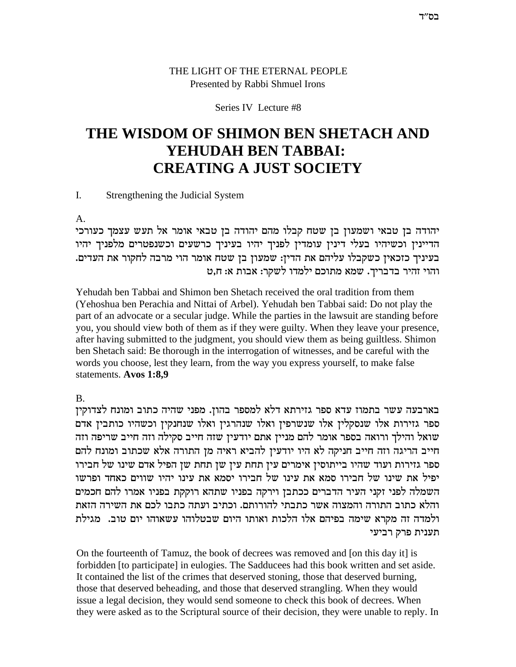## THE LIGHT OF THE ETERNAL PEOPLE Presented by Rabbi Shmuel Irons

### Series IV Lecture #8

# **THE WISDOM OF SHIMON BEN SHETACH AND YEHUDAH BEN TABBAI: CREATING A JUST SOCIETY**

I. Strengthening the Judicial System

A.

יהודה בן טבאי ושמעון בן שטח קבלו מהם יהודה בן טבאי אומר אל תעש עצמך כעורכי הדיינין וכשיהיו בעלי דינין עומדין לפניך יהיו בעיניך כרשעים וכשנפטרים מלפניך יהיו .<br>בעיניך כזכאין כשקבלו עליהם את הדין: שמעון בן שטח אומר הוי מרבה לחקור את העדים והוי זהיר בדבריך. שמא מתוכם ילמדו לשקר: אבות א: ח,ט

Yehudah ben Tabbai and Shimon ben Shetach received the oral tradition from them (Yehoshua ben Perachia and Nittai of Arbel). Yehudah ben Tabbai said: Do not play the part of an advocate or a secular judge. While the parties in the lawsuit are standing before you, you should view both of them as if they were guilty. When they leave your presence, after having submitted to the judgment, you should view them as being guiltless. Shimon ben Shetach said: Be thorough in the interrogation of witnesses, and be careful with the words you choose, lest they learn, from the way you express yourself, to make false statements. **Avos 1:8,9**

B.

בארבעה עשר בתמוז עדא ספר גזירתא דלא למספר בהון. מפני שהיה כתוב ומונח לצדוקין ספר גזירות אלו שנסקלין אלו שנשרפין ואלו שנהרגין ואלו שנחנקין וכשהיו כותבין אדם שואל והילך ורואה בספר אומר להם מניין אתם יודעין שזה חייב סקילה וזה חייב שריפה וזה חייב הריגה וזה חייב חניקה לא היו יודעין להביא ראיה מן התורה אלא שכתוב ומונח להם ספר גזירות ועוד שהיו בייתוסין אימרים עין תחת עין שן תחת שן הפיל אדם שינו של חבירו יפיל את שינו של חבירו סמא את עינו של חבירו יסמא את עינו יהיו שווים כאחד ופרשו השמלה לפני זקני העיר הדברים ככתבן וירקה בפניו שתהא רוקקת בפניו אמרו להם חכמים והלא כתוב התורה והמצוה אשר כתבתי להורותם. וכתיב ועתה כתבו לכם את השירה הזאת ולמדה זה מקרא שימה בפיהם אלו הלכות ואותו היום שבטלוהו עשאוהו יום טוב. מגילת תענית פרק רביעי

On the fourteenth of Tamuz, the book of decrees was removed and [on this day it] is forbidden [to participate] in eulogies. The Sadducees had this book written and set aside. It contained the list of the crimes that deserved stoning, those that deserved burning, those that deserved beheading, and those that deserved strangling. When they would issue a legal decision, they would send someone to check this book of decrees. When they were asked as to the Scriptural source of their decision, they were unable to reply. In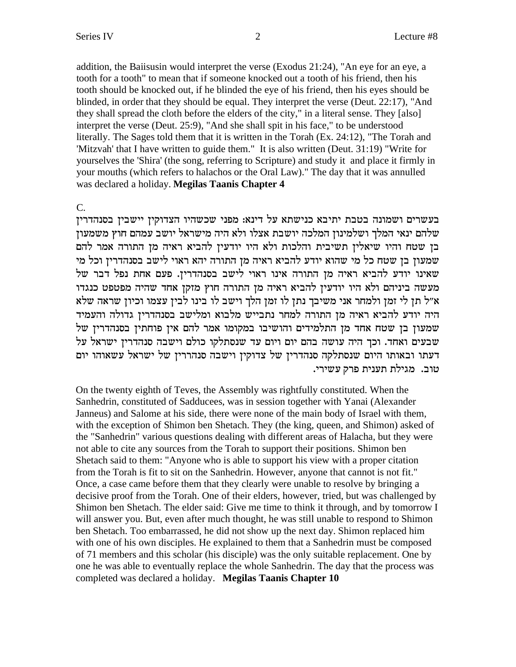addition, the Baiisusin would interpret the verse (Exodus 21:24), "An eye for an eye, a tooth for a tooth" to mean that if someone knocked out a tooth of his friend, then his tooth should be knocked out, if he blinded the eye of his friend, then his eyes should be blinded, in order that they should be equal. They interpret the verse (Deut. 22:17), "And they shall spread the cloth before the elders of the city," in a literal sense. They [also] interpret the verse (Deut. 25:9), "And she shall spit in his face," to be understood literally. The Sages told them that it is written in the Torah  $(Ex, 24:12)$ , "The Torah and 'Mitzvah' that I have written to guide them." It is also written (Deut. 31:19) "Write for yourselves the 'Shira' (the song, referring to Scripture) and study it and place it firmly in your mouths (which refers to halachos or the Oral Law)." The day that it was annulled was declared a holiday. Megilas Taanis Chapter 4

#### $\mathcal{C}$ .

בעשרים ושמונה בטבת יתיבא כנישתא על דינא: מפני שכשהיו הצדוקין יישבין בסנהדרין שלהם ינאי המלך ושלמינון המלכה יושבת אצלו ולא היה מישראל יושב עמהם חוץ משמעון בן שטח והיו שיאלין תשיבית והלכות ולא היו יודעין להביא ראיה מן התורה אמר להם שמעון בן שטח כל מי שהוא יודע להביא ראיה מן התורה יהא ראוי לישב בסנהדרין וכל מי שאינו יודע להביא ראיה מן התורה אינו ראוי לישב בסנהדרין. פעם אחת נפל דבר של מעשה ביניהם ולא היו יודעין להביא ראיה מן התורה חוץ מזקן אחד שהיה מפטפט כנגדו א״ל תן לי זמן ולמחר אני משיבך נתן לו זמן הלך וישב לו בינו לבין עצמו וכיון שראה שלא היה יודע להביא ראיה מן התורה למחר נתבייש מלבוא ומלישב בסנהדרין גדולה והעמיד שמעון בן שטח אחד מן התלמידים והושיבו במקומו אמר להם אין פוחתין בסנהדרין של שבעים ואחד. וכך היה עושה בהם יום ויום עד שנסתלקו כולם וישבה סנהדרין ישראל על דעתו ובאותו היום שנסתלקה סנהדרין של צדוקין וישבה סנהררין של ישראל עשאוהו יום טוב. מגילת תענית פרק עשירי.

On the twenty eighth of Teves, the Assembly was rightfully constituted. When the Sanhedrin, constituted of Sadducees, was in session together with Yanai (Alexander Janneus) and Salome at his side, there were none of the main body of Israel with them, with the exception of Shimon ben Shetach. They (the king, queen, and Shimon) asked of the "Sanhedrin" various questions dealing with different areas of Halacha, but they were not able to cite any sources from the Torah to support their positions. Shimon ben Shetach said to them: "Anyone who is able to support his view with a proper citation from the Torah is fit to sit on the Sanhedrin. However, anyone that cannot is not fit." Once, a case came before them that they clearly were unable to resolve by bringing a decisive proof from the Torah. One of their elders, however, tried, but was challenged by Shimon ben Shetach. The elder said: Give me time to think it through, and by tomorrow I will answer you. But, even after much thought, he was still unable to respond to Shimon ben Shetach. Too embarrassed, he did not show up the next day. Shimon replaced him with one of his own disciples. He explained to them that a Sanhedrin must be composed of 71 members and this scholar (his disciple) was the only suitable replacement. One by one he was able to eventually replace the whole Sanhedrin. The day that the process was completed was declared a holiday. Megilas Taanis Chapter 10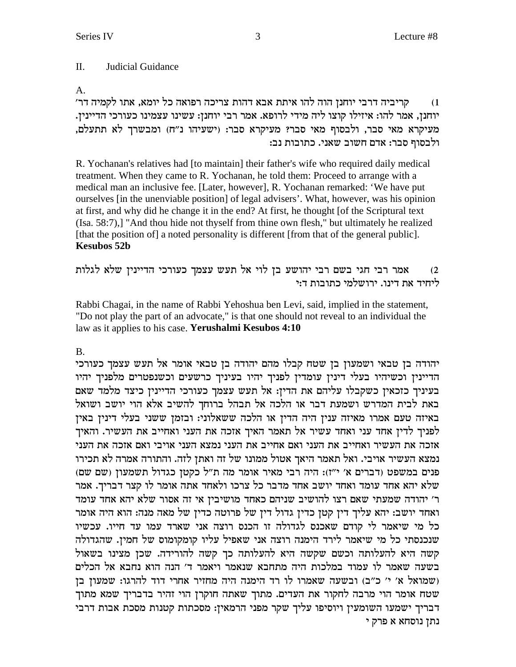#### $\Pi$ . Judicial Guidance

 $A_{1}$ 

קריביה דרבי יוחנן הוה להו איתת אבא דהות צריכה רפואה כל יומא, אתו לקמיה דר׳  $(1)$ יוחנן, אמר להו: איזילו קוצו ליה מידי לרופא. אמר רבי יוחנן: עשינו עצמינו כעורכי הדיינין. מעיקרא מאי סבר, ולבסוף מאי סבר? מעיקרא סבר: (ישעיהו נ"ח) ומבשרך לא תתעלם, ולבסוף סבר: אדם חשוב שאני. כתובות נב:

R. Yochanan's relatives had [to maintain] their father's wife who required daily medical treatment. When they came to R. Yochanan, he told them: Proceed to arrange with a medical man an inclusive fee. [Later, however], R. Yochanan remarked: 'We have put ourselves [in the unenviable position] of legal advisers'. What, however, was his opinion at first, and why did he change it in the end? At first, he thought [of the Scriptural text (Isa. 58:7),] "And thou hide not thyself from thine own flesh," but ultimately he realized [that the position of] a noted personality is different [from that of the general public]. **Kesubos 52b** 

אמר רבי חגי בשם רבי יהושע בן לוי אל תעש עצמך כעורכי הדיינין שלא לגלות  $(2)$ ליחיד את דינו. ירושלמי כתובות ד:י

Rabbi Chagai, in the name of Rabbi Yehoshua ben Levi, said, implied in the statement, "Do not play the part of an advocate," is that one should not reveal to an individual the law as it applies to his case. Yerushalmi Kesubos 4:10

# **B.**

יהודה בן טבאי ושמעון בן שטח קבלו מהם יהודה בן טבאי אומר אל תעש עצמך כעורכי הדיינין וכשיהיו בעלי דינין עומדין לפניך יהיו בעיניך כרשעים וכשנפטרים מלפניך יהיו בעיניך כזכאין כשקבלו עליהם את הדין: אל תעש עצמך כעורכי הדיינין כיצד מלמד שאם באת לבית המדרש ושמעת דבר או הלכה אל תבהל ברוחך להשיב אלא הוי יושב ושואל באיזה טעם אמרו מאיזה ענין היה הדין או הלכה ששאלוני: ובזמן ששני בעלי דינין באין לפניך לדין אחד עני ואחד עשיר אל תאמר האיך אזכה את העני ואחייב את העשיר. והאיך אזכה את העשיר ואחייב את העני ואם אחייב את העני נמצא העני אויבי ואם אזכה את העני נמצא העשיר אויבי. ואל תאמר היאך אטול ממונו של זה ואתן לזה. והתורה אמרה לא תכירו פנים במשפט (דברים א' י"ז): היה רבי מאיר אומר מה ת"ל כקטן כגדול תשמעון (שם שם) שלא יהא אחד עומד ואחד יושב אחד מדבר כל צרכו ולאחד אתה אומר לו קצר דבריך. אמר ר' יהודה שמעתי שאם רצו להושיב שניהם כאחד מושיבין אי זה אסור שלא יהא אחד עומד ואחד יושב: יהא עליך דין קטן כדין גדול דין של פרוטה כדין של מאה מנה: הוא היה אומר כל מי שיאמר לי קודם שאכנס לגדולה זו הכנס רוצה אני שארד עמו עד חייו. עכשיו שנכנסתי כל מי שיאמר לירד הימנה רוצה אני שאפיל עליו קומקומוס של חמין. שהגדולה קשה היא להעלותה וכשם שקשה היא להעלותה כך קשה להורידה. שכן מצינו בשאול בשעה שאמר לו עמוד במלכות היה מתחבא שנאמר ויאמר ד׳ הנה הוא נחבא אל הכלים (שמואל א' י' כ"ב) ובשעה שאמרו לו רד הימנה היה מחזיר אחרי דוד להרגו: שמעון בן שטח אומר הוי מרבה לחקור את העדים. מתוך שאתה חוקרן הוי זהיר בדבריך שמא מתוך דבריך ישמעו השומעין ויוסיפו עליך שקר מפני הרמאין: מסכתות קטנות מסכת אבות דרבי נתן נוסחא א פרק י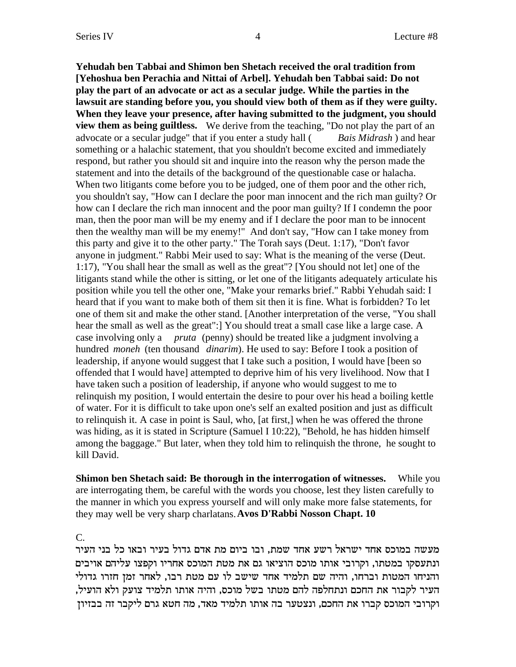**Yehudah ben Tabbai and Shimon ben Shetach received the oral tradition from [Yehoshua ben Perachia and Nittai of Arbel]. Yehudah ben Tabbai said: Do not play the part of an advocate or act as a secular judge. While the parties in the lawsuit are standing before you, you should view both of them as if they were guilty. When they leave your presence, after having submitted to the judgment, you should view them as being guiltless.** We derive from the teaching, "Do not play the part of an advocate or a secular judge" that if you enter a study hall ( *Bais Midrash* ) and hear something or a halachic statement, that you shouldn't become excited and immediately respond, but rather you should sit and inquire into the reason why the person made the statement and into the details of the background of the questionable case or halacha. When two litigants come before you to be judged, one of them poor and the other rich, you shouldn't say, "How can I declare the poor man innocent and the rich man guilty? Or how can I declare the rich man innocent and the poor man guilty? If I condemn the poor man, then the poor man will be my enemy and if I declare the poor man to be innocent then the wealthy man will be my enemy!" And don't say, "How can I take money from this party and give it to the other party." The Torah says (Deut. 1:17), "Don't favor anyone in judgment." Rabbi Meir used to say: What is the meaning of the verse (Deut. 1:17), "You shall hear the small as well as the great"? [You should not let] one of the litigants stand while the other is sitting, or let one of the litigants adequately articulate his position while you tell the other one, "Make your remarks brief." Rabbi Yehudah said: I heard that if you want to make both of them sit then it is fine. What is forbidden? To let one of them sit and make the other stand. [Another interpretation of the verse, "You shall hear the small as well as the great":] You should treat a small case like a large case. A case involving only a *pruta* (penny) should be treated like a judgment involving a hundred *moneh* (ten thousand *dinarim*). He used to say: Before I took a position of leadership, if anyone would suggest that I take such a position, I would have [been so offended that I would have] attempted to deprive him of his very livelihood. Now that I have taken such a position of leadership, if anyone who would suggest to me to relinquish my position, I would entertain the desire to pour over his head a boiling kettle of water. For it is difficult to take upon one's self an exalted position and just as difficult to relinquish it. A case in point is Saul, who, [at first,] when he was offered the throne was hiding, as it is stated in Scripture (Samuel I 10:22), "Behold, he has hidden himself among the baggage." But later, when they told him to relinquish the throne, he sought to kill David.

**Shimon ben Shetach said: Be thorough in the interrogation of witnesses.** While you are interrogating them, be careful with the words you choose, lest they listen carefully to the manner in which you express yourself and will only make more false statements, for they may well be very sharp charlatans.**Avos D'Rabbi Nosson Chapt. 10**

C.

מעשה במוכס אחד ישראל רשע אחד שמת, ובו ביום מת אדם גדול בעיר ובאו כל בני העיר ונתעסקו במטתו, וקרובי אותו מוכס הוציאו גם את מטת המוכס אחריו וקפצו עליהם אויבים והניחו המטות וברחו, והיה שם תלמיד אחד שישב לו עם מטת רבו, לאחר זמן חזרו גדולי , העיר לקבור את החכם ונתחלפה להם מטתו בשל מוכס, והיה אותו תלמיד צועק ולא הועיל וקרובי המוכס קברו את החכם, ונצטער בה אותו תלמיד מאד, מה חטא גרם ליקבר זה בבזיוז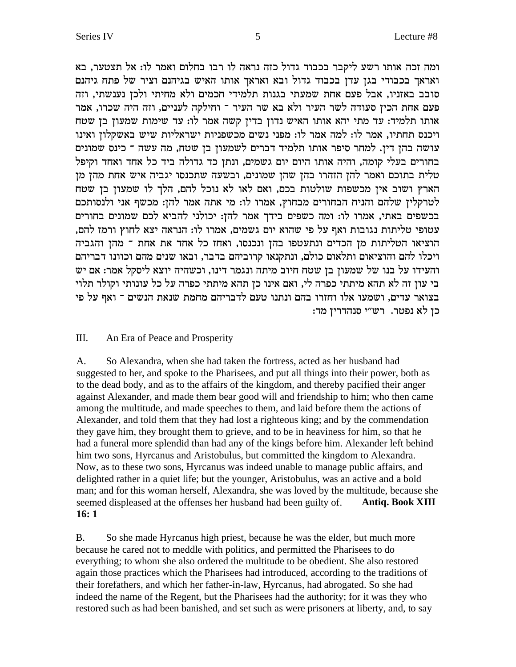ומה זכה אותו רשע ליקבר בכבוד גדול כזה נראה לו רבו בחלום ואמר לו: אל תצטער, בא ואראך בכבודי בגן עדן בכבוד גדול ובא ואראך אותו האיש בגיהנם וציר של פתח גיהנם סובב באזניו, אבל פעם אחת שמעתי בגנות תלמידי חכמים ולא מחיתי ולכן נענשתי, וזה פעם אחת הכין סעודה לשר העיר ולא בא שר העיר ־ וחילקה לעניים, וזה היה שכרו, אמר אותו תלמיד: עד מתי יהא אותו האיש נדון בדין קשה אמר לו: עד שימות שמעון בן שטח ויכנס תחתיו, אמר לו: למה אמר לו: מפני נשים מכשפניות ישראליות שיש באשקלון ואינו עושה בהן דין. למחר סיפר אותו תלמיד דברים לשמעון בן שטח, מה עשה ־ כינס שמונים בחורים בעלי קומה, והיה אותו היום יום גשמים, ונתן כד גדולה ביד כל אחד ואחד וקיפל טלית בתוכם ואמר להן הזהרו בהן שהן שמונים, ובשעה שתכנסו יגביה איש אחת מהן מן הארץ ושוב אין מכשפות שולטות בכם, ואם לאו לא נוכל להם, הלך לו שמעון בן שטח לטרקלין שלהם והניח הבחורים מבחוץ, אמרו לו: מי אתה אמר להן: מכשף אני ולנסותכם בכשפים באתי, אמרו לו: ומה כשפים בידך אמר להן: יכולני להביא לכם שמונים בחורים , עטופי טליתות נגובות ואף על פי שהוא יום גשמים, אמרו לו: הנראה יצא לחוץ ורמז להם הוציאו הטליתות מן הכדים ונתעטפו בהן ונכנסו, ואחז כל אחד את אחת ־ מהן והגביה חיכלו להם והוציאום ותלאום כולם, ונתקנאו קרוביהם בדבר, ובאו שנים מהם וכוונו דבריהם והעידו על בנו של שמעון בן שטח חיוב מיתה ונגמר דינו, וכשהיה יוצא ליסקל אמר: אם יש בי עון זה לא תהא מיתתי כפרה לי, ואם אינו כן תהא מיתתי כפרה על כל עונותי וקולר תלוי בצואר עדים, ושמעו אלו וחזרו בהם ונתנו טעם לדבריהם מחמת שנאת הנשים ־ ואף על פי : כן לא נפטר. רש״י סנהדרין מד

#### III. An Era of Peace and Prosperity

A. So Alexandra, when she had taken the fortress, acted as her husband had suggested to her, and spoke to the Pharisees, and put all things into their power, both as to the dead body, and as to the affairs of the kingdom, and thereby pacified their anger against Alexander, and made them bear good will and friendship to him; who then came among the multitude, and made speeches to them, and laid before them the actions of Alexander, and told them that they had lost a righteous king; and by the commendation they gave him, they brought them to grieve, and to be in heaviness for him, so that he had a funeral more splendid than had any of the kings before him. Alexander left behind him two sons, Hyrcanus and Aristobulus, but committed the kingdom to Alexandra. Now, as to these two sons, Hyrcanus was indeed unable to manage public affairs, and delighted rather in a quiet life; but the younger, Aristobulus, was an active and a bold man; and for this woman herself, Alexandra, she was loved by the multitude, because she seemed displeased at the offenses her husband had been guilty of. **Antiq. Book XIII 16: 1**

B. So she made Hyrcanus high priest, because he was the elder, but much more because he cared not to meddle with politics, and permitted the Pharisees to do everything; to whom she also ordered the multitude to be obedient. She also restored again those practices which the Pharisees had introduced, according to the traditions of their forefathers, and which her father-in-law, Hyrcanus, had abrogated. So she had indeed the name of the Regent, but the Pharisees had the authority; for it was they who restored such as had been banished, and set such as were prisoners at liberty, and, to say